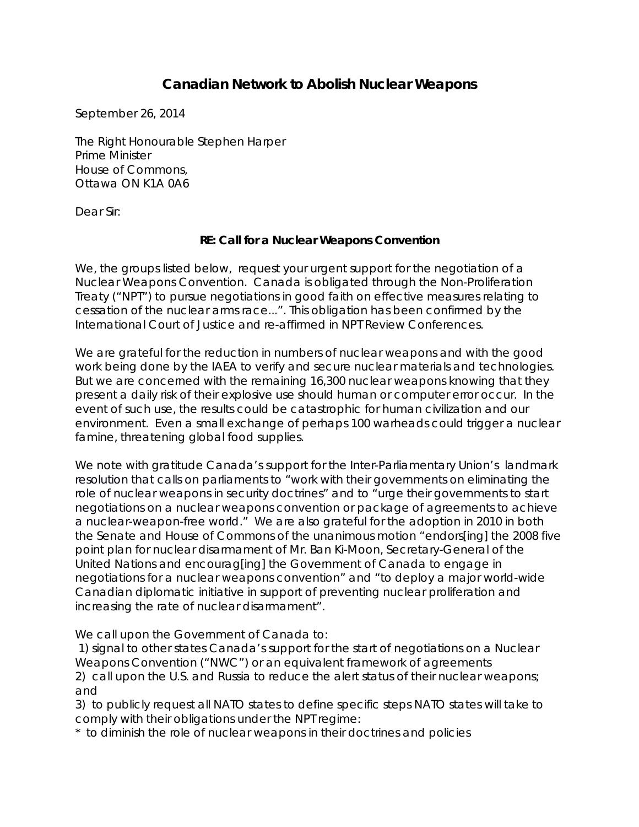## **Canadian Network to Abolish Nuclear Weapons**

September 26, 2014

The Right Honourable Stephen Harper Prime Minister House of Commons, Ottawa ON K1A 0A6

Dear Sir:

## **RE: Call for a Nuclear Weapons Convention**

We, the groups listed below, request your urgent support for the negotiation of a Nuclear Weapons Convention. Canada is obligated through the Non-Proliferation Treaty ("NPT") to pursue negotiations in good faith on effective measures relating to cessation of the nuclear arms race...". This obligation has been confirmed by the International Court of Justice and re-affirmed in NPT Review Conferences.

We are grateful for the reduction in numbers of nuclear weapons and with the good work being done by the IAEA to verify and secure nuclear materials and technologies. But we are concerned with the remaining 16,300 nuclear weapons knowing that they present a daily risk of their explosive use should human or computer error occur. In the event of such use, the results could be catastrophic for human civilization and our environment. Even a small exchange of perhaps 100 warheads could trigger a nuclear famine, threatening global food supplies.

We note with gratitude Canada's support for the Inter-Parliamentary Union's landmark resolution that calls on parliaments to "work with their governments on eliminating the role of nuclear weapons in security doctrines" and to "urge their governments to start negotiations on a nuclear weapons convention or package of agreements to achieve a nuclear-weapon-free world." We are also grateful for the adoption in 2010 in both the Senate and House of Commons of the unanimous motion "endors[ing] the 2008 five point plan for nuclear disarmament of Mr. Ban Ki-Moon, Secretary-General of the United Nations and encourag[ing] the Government of Canada to engage in negotiations for a nuclear weapons convention" and "to deploy a major world-wide Canadian diplomatic initiative in support of preventing nuclear proliferation and increasing the rate of nuclear disarmament".

We call upon the Government of Canada to:

1) signal to other states Canada's support for the start of negotiations on a Nuclear Weapons Convention ("NWC") or an equivalent framework of agreements 2) call upon the U.S. and Russia to reduce the alert status of their nuclear weapons; and

3) to publicly request all NATO states to define specific steps NATO states will take to comply with their obligations under the NPT regime:

\* to diminish the role of nuclear weapons in their doctrines and policies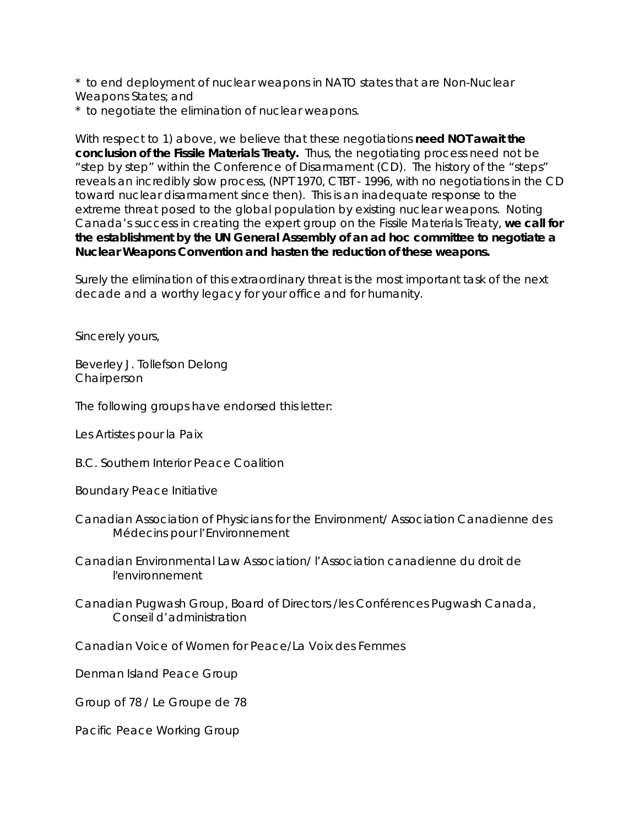\* to end deployment of nuclear weapons in NATO states that are Non-Nuclear Weapons States; and

\* to negotiate the elimination of nuclear weapons.

With respect to 1) above, we believe that these negotiations **need NOT await the conclusion of the Fissile Materials Treaty.** Thus, the negotiating process need not be "step by step" within the Conference of Disarmament (CD). The history of the "steps" reveals an incredibly slow process, (NPT 1970, CTBT - 1996, with no negotiations in the CD toward nuclear disarmament since then). This is an inadequate response to the extreme threat posed to the global population by existing nuclear weapons. Noting Canada's success in creating the expert group on the Fissile Materials Treaty, **we call for the establishment by the UN General Assembly of an** *ad hoc* **committee to negotiate a Nuclear Weapons Convention and hasten the reduction of these weapons.**

Surely the elimination of this extraordinary threat is the most important task of the next decade and a worthy legacy for your office and for humanity.

Sincerely yours,

Beverley J. Tollefson Delong **Chairperson** 

The following groups have endorsed this letter:

Les Artistes pour la Paix

B.C. Southern Interior Peace Coalition

Boundary Peace Initiative

- Canadian Association of Physicians for the Environment/ Association Canadienne des Médecins pour l'Environnement
- Canadian Environmental Law Association/ l'Association canadienne du droit de l'environnement
- Canadian Pugwash Group, Board of Directors /les Conférences Pugwash Canada, Conseil d'administration

Canadian Voice of Women for Peace/La Voix des Femmes

Denman Island Peace Group

Group of 78 / Le Groupe de 78

Pacific Peace Working Group